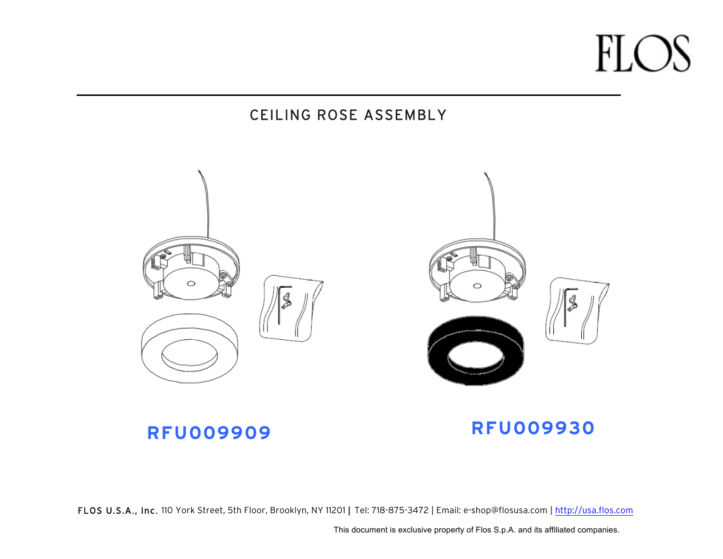#### CEILING ROSE ASSEMBLY



#### **RFU009909 RFU009930**

FLOS U.S.A., Inc. 110 York Street, 5th Floor, Brooklyn, NY 11201 | Tel: 718-875-3472 | Email: e-shop@flosusa.com | http://usa.flos.com

This document is exclusive property of Flos S.p.A. and its affiliated companies.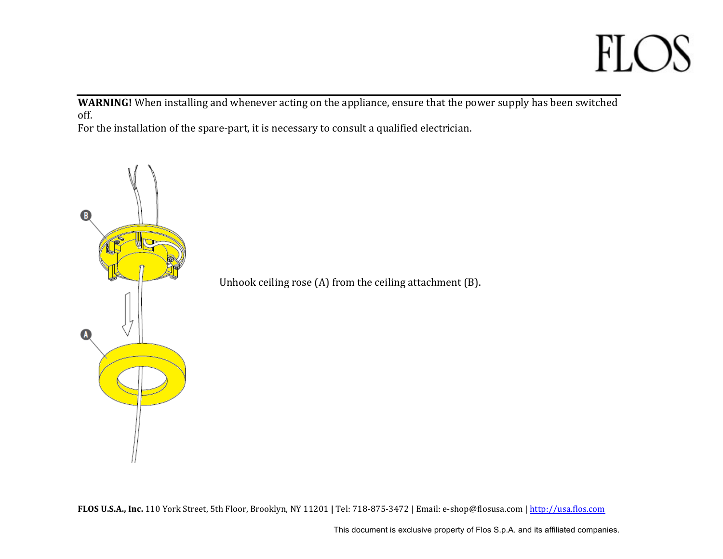**WARNING!** When installing and whenever acting on the appliance, ensure that the power supply has been switched off.

For the installation of the spare-part, it is necessary to consult a qualified electrician.

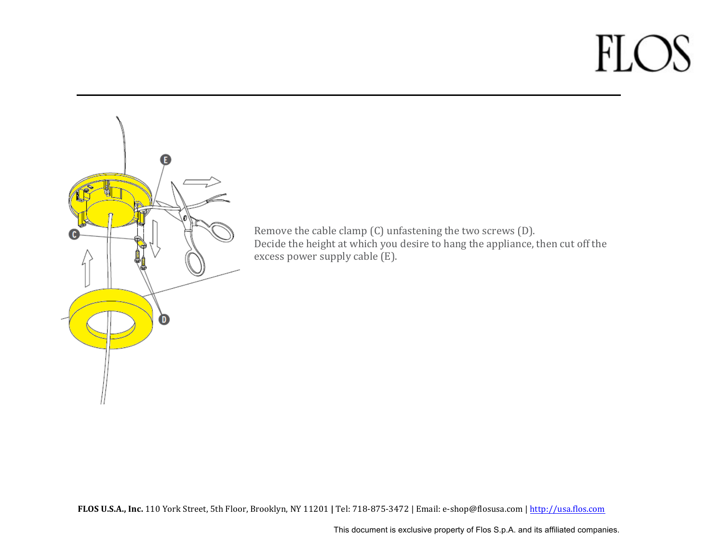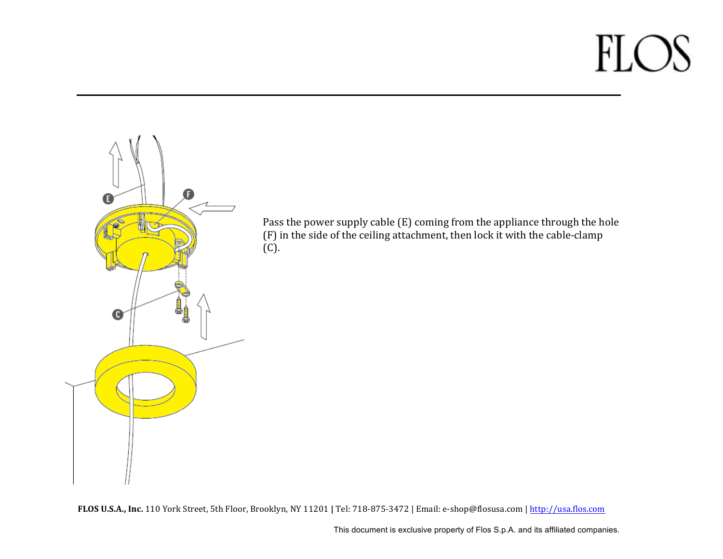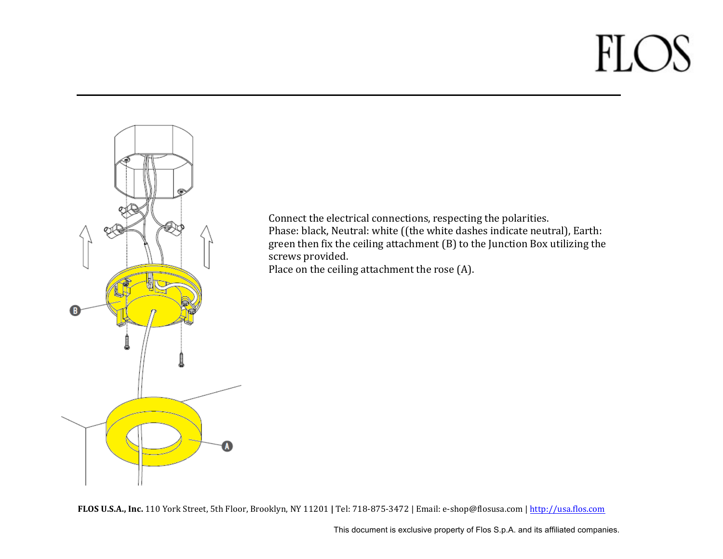